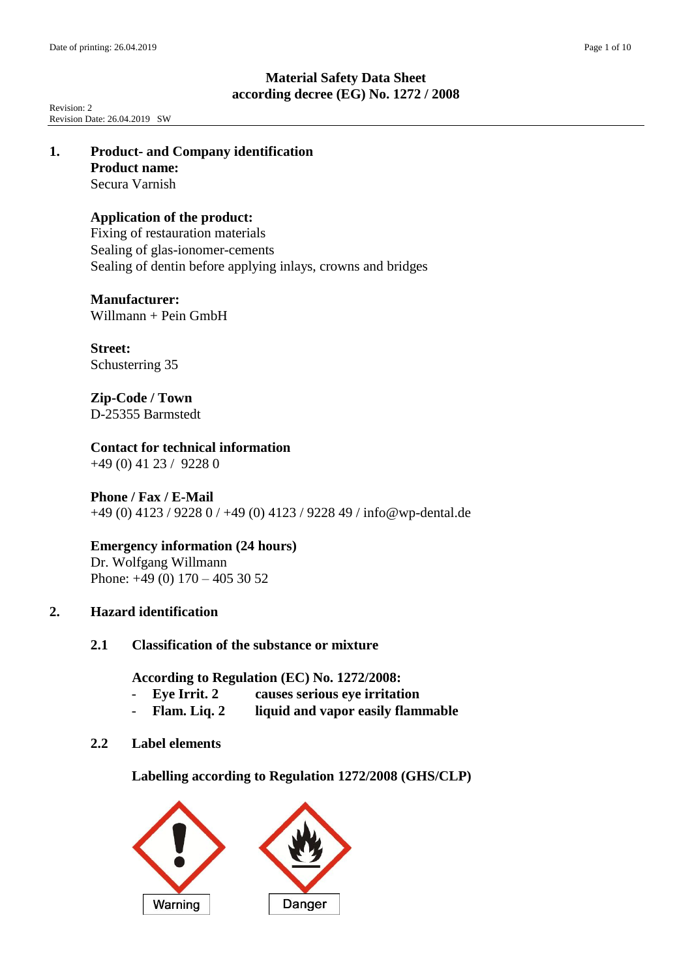Revision: 2 Revision Date: 26.04.2019 SW

### **1. Product- and Company identification Product name:** Secura Varnish

# **Application of the product:**

Fixing of restauration materials Sealing of glas-ionomer-cements Sealing of dentin before applying inlays, crowns and bridges

# **Manufacturer:**

Willmann + Pein GmbH

**Street:** Schusterring 35

**Zip-Code / Town** D-25355 Barmstedt

**Contact for technical information** +49 (0) 41 23 / 9228 0

# **Phone / Fax / E-Mail**

+49 (0) 4123 / 9228 0 / +49 (0) 4123 / 9228 49 / info@wp-dental.de

# **Emergency information (24 hours)**

Dr. Wolfgang Willmann Phone: +49 (0) 170 – 405 30 52

# **2. Hazard identification**

# **2.1 Classification of the substance or mixture**

**According to Regulation (EC) No. 1272/2008:**

- **Eye Irrit. 2 causes serious eye irritation**
- **Flam. Liq. 2 liquid and vapor easily flammable**

# **2.2 Label elements**

**Labelling according to Regulation 1272/2008 (GHS/CLP)**

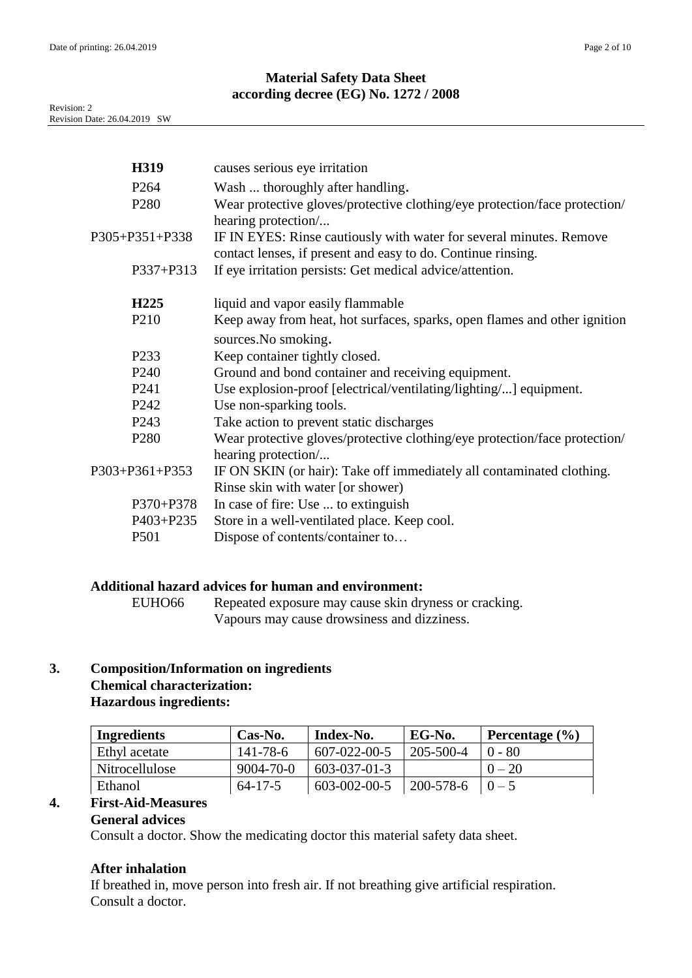| H319             | causes serious eye irritation                                                                                                                             |
|------------------|-----------------------------------------------------------------------------------------------------------------------------------------------------------|
| P <sub>264</sub> | Wash  thoroughly after handling.                                                                                                                          |
| P <sub>280</sub> | Wear protective gloves/protective clothing/eye protection/face protection/                                                                                |
| P305+P351+P338   | hearing protection<br>IF IN EYES: Rinse cautiously with water for several minutes. Remove<br>contact lenses, if present and easy to do. Continue rinsing. |
| P337+P313        | If eye irritation persists: Get medical advice/attention.                                                                                                 |
| H <sub>225</sub> | liquid and vapor easily flammable                                                                                                                         |
| P <sub>210</sub> | Keep away from heat, hot surfaces, sparks, open flames and other ignition                                                                                 |
|                  | sources. No smoking.                                                                                                                                      |
| P <sub>233</sub> | Keep container tightly closed.                                                                                                                            |
| P <sub>240</sub> | Ground and bond container and receiving equipment.                                                                                                        |
| P <sub>241</sub> | Use explosion-proof [electrical/ventilating/lighting/] equipment.                                                                                         |
| P <sub>242</sub> | Use non-sparking tools.                                                                                                                                   |
| P <sub>243</sub> | Take action to prevent static discharges                                                                                                                  |
| P <sub>280</sub> | Wear protective gloves/protective clothing/eye protection/face protection/<br>hearing protection/                                                         |
| P303+P361+P353   | IF ON SKIN (or hair): Take off immediately all contaminated clothing.                                                                                     |
|                  | Rinse skin with water [or shower]                                                                                                                         |
| P370+P378        | In case of fire: Use  to extinguish                                                                                                                       |
| P403+P235        | Store in a well-ventilated place. Keep cool.                                                                                                              |
| P501             | Dispose of contents/container to                                                                                                                          |
|                  |                                                                                                                                                           |

# **Additional hazard advices for human and environment:**

EUHO66 Repeated exposure may cause skin dryness or cracking. Vapours may cause drowsiness and dizziness.

# **3. Composition/Information on ingredients Chemical characterization:**

# **Hazardous ingredients:**

| Ingredients    | $Cas-No.$       | Index-No.            | EG-No.       | Percentage $(\% )$ |
|----------------|-----------------|----------------------|--------------|--------------------|
| Ethyl acetate  | $141 - 78 - 6$  | $607 - 022 - 00 - 5$ | 205-500-4    | $0 - 80$           |
| Nitrocellulose | $9004 - 70 - 0$ | $603 - 037 - 01 - 3$ |              | $0 - 20$           |
| Ethanol        | $64 - 17 - 5$   | 603-002-00-5         | $ 200-578-6$ | $0 - 5$            |

# **4. First-Aid-Measures**

# **General advices**

Consult a doctor. Show the medicating doctor this material safety data sheet.

# **After inhalation**

If breathed in, move person into fresh air. If not breathing give artificial respiration. Consult a doctor.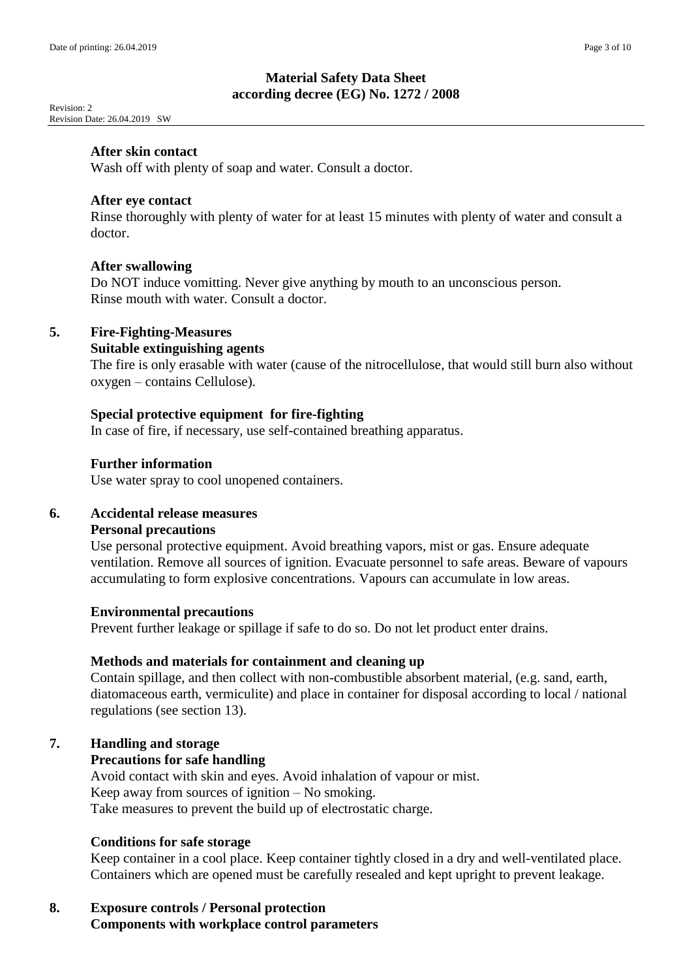Revision: 2 Revision Date: 26.04.2019 SW

#### **After skin contact**

Wash off with plenty of soap and water. Consult a doctor.

#### **After eye contact**

Rinse thoroughly with plenty of water for at least 15 minutes with plenty of water and consult a doctor.

### **After swallowing**

Do NOT induce vomitting. Never give anything by mouth to an unconscious person. Rinse mouth with water. Consult a doctor.

### **5. Fire-Fighting-Measures**

### **Suitable extinguishing agents**

The fire is only erasable with water (cause of the nitrocellulose, that would still burn also without oxygen – contains Cellulose).

#### **Special protective equipment for fire-fighting**

In case of fire, if necessary, use self-contained breathing apparatus.

#### **Further information**

Use water spray to cool unopened containers.

### **6. Accidental release measures**

#### **Personal precautions**

Use personal protective equipment. Avoid breathing vapors, mist or gas. Ensure adequate ventilation. Remove all sources of ignition. Evacuate personnel to safe areas. Beware of vapours accumulating to form explosive concentrations. Vapours can accumulate in low areas.

#### **Environmental precautions**

Prevent further leakage or spillage if safe to do so. Do not let product enter drains.

#### **Methods and materials for containment and cleaning up**

Contain spillage, and then collect with non-combustible absorbent material, (e.g. sand, earth, diatomaceous earth, vermiculite) and place in container for disposal according to local / national regulations (see section 13).

## **7. Handling and storage**

### **Precautions for safe handling**

Avoid contact with skin and eyes. Avoid inhalation of vapour or mist. Keep away from sources of ignition – No smoking. Take measures to prevent the build up of electrostatic charge.

## **Conditions for safe storage**

Keep container in a cool place. Keep container tightly closed in a dry and well-ventilated place. Containers which are opened must be carefully resealed and kept upright to prevent leakage.

# **8. Exposure controls / Personal protection Components with workplace control parameters**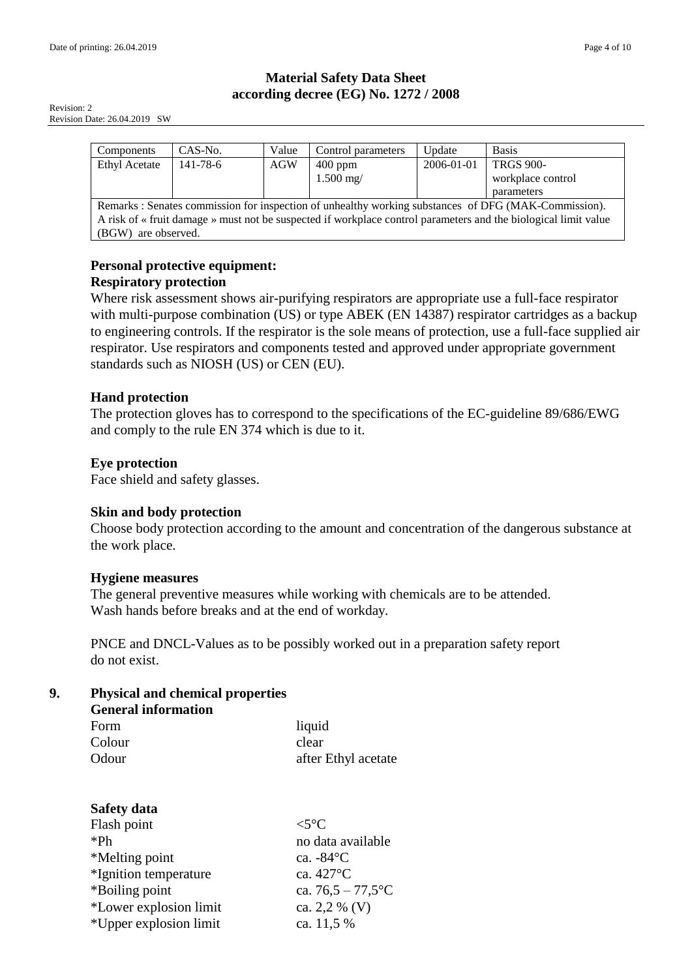Revision: 2 Revision Date: 26.04.2019 SW

| Components                                                                                                      | CAS-No.        | Value      | Control parameters | Update     | <b>Basis</b>      |
|-----------------------------------------------------------------------------------------------------------------|----------------|------------|--------------------|------------|-------------------|
| <b>Ethyl Acetate</b>                                                                                            | $141 - 78 - 6$ | <b>AGW</b> | $400$ ppm          | 2006-01-01 | <b>TRGS 900-</b>  |
|                                                                                                                 |                |            | $1.500$ mg/        |            | workplace control |
|                                                                                                                 |                |            |                    |            | parameters        |
| Remarks : Senates commission for inspection of unhealthy working substances of DFG (MAK-Commission).            |                |            |                    |            |                   |
| A risk of « fruit damage » must not be suspected if workplace control parameters and the biological limit value |                |            |                    |            |                   |
| are observed.<br>(BGW)                                                                                          |                |            |                    |            |                   |

# **Personal protective equipment: Respiratory protection**

Where risk assessment shows air-purifying respirators are appropriate use a full-face respirator with multi-purpose combination (US) or type ABEK (EN 14387) respirator cartridges as a backup to engineering controls. If the respirator is the sole means of protection, use a full-face supplied air respirator. Use respirators and components tested and approved under appropriate government standards such as NIOSH (US) or CEN (EU).

# **Hand protection**

The protection gloves has to correspond to the specifications of the EC-guideline 89/686/EWG and comply to the rule EN 374 which is due to it.

# **Eye protection**

Face shield and safety glasses.

# **Skin and body protection**

Choose body protection according to the amount and concentration of the dangerous substance at the work place.

# **Hygiene measures**

The general preventive measures while working with chemicals are to be attended. Wash hands before breaks and at the end of workday.

PNCE and DNCL-Values as to be possibly worked out in a preparation safety report do not exist.

# **9. Physical and chemical properties**

| <b>General information</b> |                     |
|----------------------------|---------------------|
| Form                       | liquid              |
| Colour                     | clear               |
| Odour                      | after Ethyl acetate |

| <b>Safety data</b>     |                      |
|------------------------|----------------------|
| Flash point            | $\lt$ 5°C            |
| $*Ph$                  | no data available    |
| *Melting point         | ca. $-84^{\circ}$ C  |
| *Ignition temperature  | ca. 427°C            |
| *Boiling point         | ca. $76,5 - 77,5$ °C |
| *Lower explosion limit | ca. 2,2 % (V)        |
| *Upper explosion limit | ca. 11,5 %           |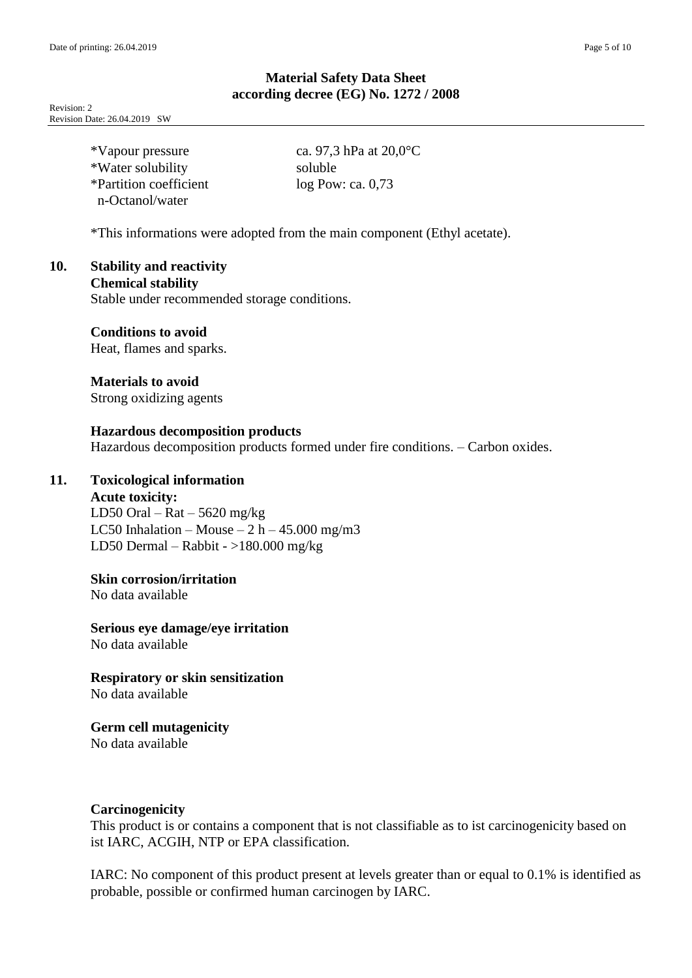Revision: 2 Revision Date: 26.04.2019 SW

| *Vapour pressure       | ca. 97,3 hPa at $20,0^{\circ}$ C |
|------------------------|----------------------------------|
| *Water solubility      | soluble                          |
| *Partition coefficient | $log$ Pow: ca. 0,73              |
| n-Octanol/water        |                                  |

\*This informations were adopted from the main component (Ethyl acetate).

# **10. Stability and reactivity**

**Chemical stability**

Stable under recommended storage conditions.

# **Conditions to avoid**

Heat, flames and sparks.

**Materials to avoid** Strong oxidizing agents

# **Hazardous decomposition products**

Hazardous decomposition products formed under fire conditions. – Carbon oxides.

# **11. Toxicological information**

#### **Acute toxicity:**

LD50 Oral –  $Rat - 5620$  mg/kg LC50 Inhalation – Mouse –  $2 h - 45.000$  mg/m3 LD50 Dermal – Rabbit - >180.000 mg/kg

## **Skin corrosion/irritation**

No data available

### **Serious eye damage/eye irritation**

No data available

# **Respiratory or skin sensitization**

No data available

# **Germ cell mutagenicity**

No data available

### **Carcinogenicity**

This product is or contains a component that is not classifiable as to ist carcinogenicity based on ist IARC, ACGIH, NTP or EPA classification.

IARC: No component of this product present at levels greater than or equal to 0.1% is identified as probable, possible or confirmed human carcinogen by IARC.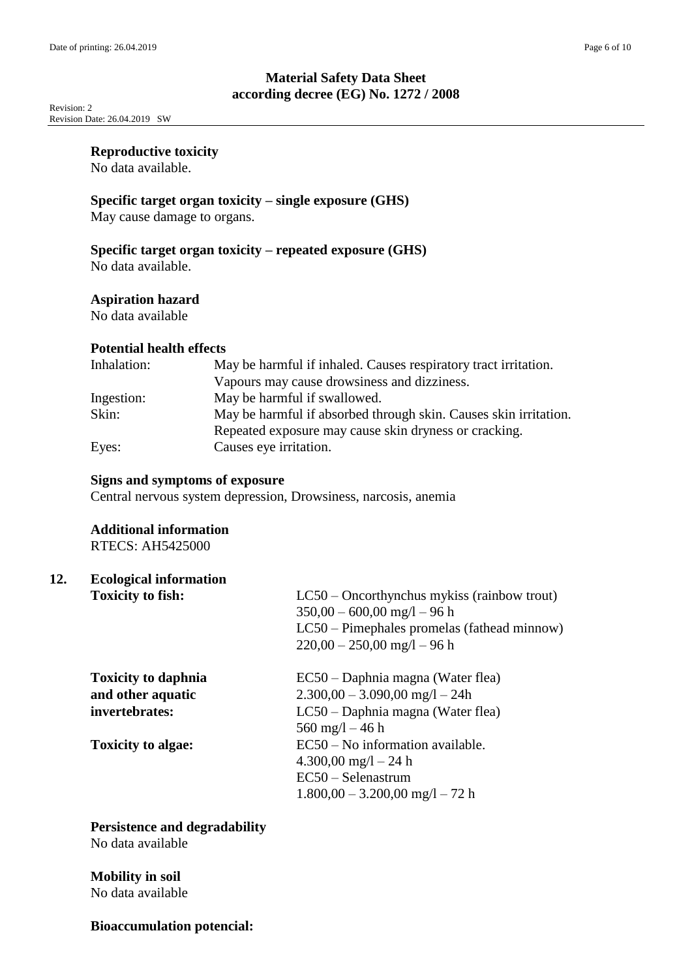Revision: 2 Revision Date: 26.04.2019 SW

#### **Reproductive toxicity**

No data available.

# **Specific target organ toxicity – single exposure (GHS)**

May cause damage to organs.

## **Specific target organ toxicity – repeated exposure (GHS)**

No data available.

### **Aspiration hazard**

No data available

### **Potential health effects**

| Inhalation: | May be harmful if inhaled. Causes respiratory tract irritation.  |
|-------------|------------------------------------------------------------------|
|             | Vapours may cause drowsiness and dizziness.                      |
| Ingestion:  | May be harmful if swallowed.                                     |
| Skin:       | May be harmful if absorbed through skin. Causes skin irritation. |
|             | Repeated exposure may cause skin dryness or cracking.            |
| Eyes:       | Causes eye irritation.                                           |

#### **Signs and symptoms of exposure**

Central nervous system depression, Drowsiness, narcosis, anemia

#### **Additional information** RTECS: AH5425000

# **12. Ecological information**

| <b>Toxicity to fish:</b>   | $LC50$ – Oncorthynchus mykiss (rainbow trout)<br>$350,00 - 600,00$ mg/l $-96$ h<br>LC50 – Pimephales promelas (fathead minnow)<br>$220,00 - 250,00$ mg/l $-96$ h |
|----------------------------|------------------------------------------------------------------------------------------------------------------------------------------------------------------|
| <b>Toxicity to daphnia</b> | EC50 – Daphnia magna (Water flea)                                                                                                                                |
| and other aquatic          | $2.300,00 - 3.090,00$ mg/l $- 24h$                                                                                                                               |
| invertebrates:             | LC50 – Daphnia magna (Water flea)<br>$560 \text{ mg/l} - 46 \text{ h}$                                                                                           |
| <b>Toxicity to algae:</b>  | $EC50 - No$ information available.                                                                                                                               |
|                            | $4.300,00 \text{ mg}/1 - 24 \text{ h}$                                                                                                                           |
|                            | $EC50 - Selenastrum$                                                                                                                                             |
|                            | $1.800,00 - 3.200,00$ mg/l $- 72$ h                                                                                                                              |

# **Persistence and degradability**

No data available

## **Mobility in soil** No data available

### **Bioaccumulation potencial:**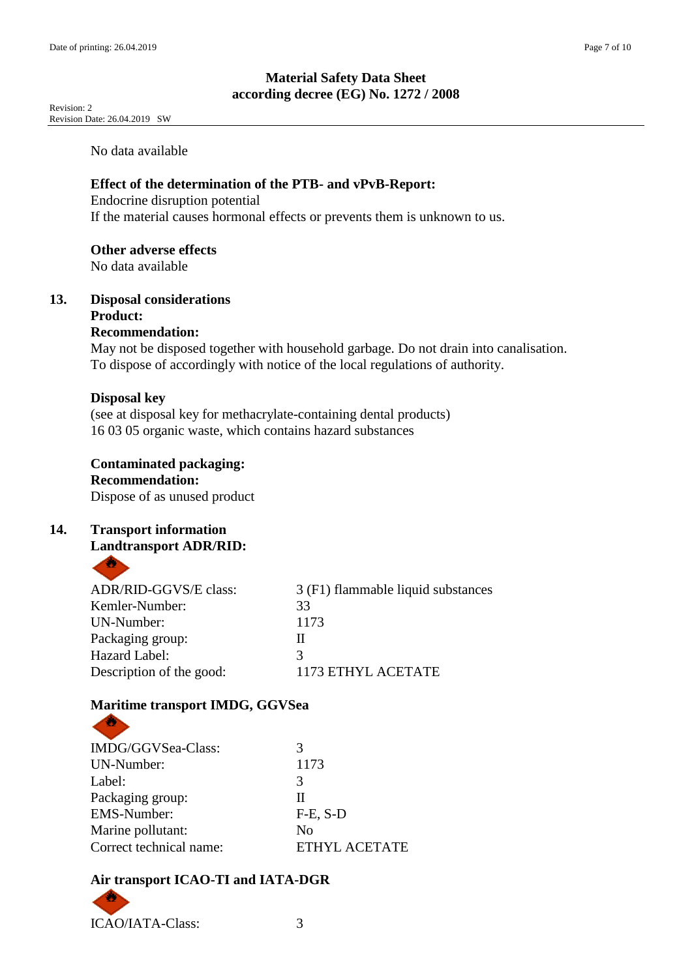Revision: 2 Revision Date: 26.04.2019 SW

No data available

## **Effect of the determination of the PTB- and vPvB-Report:**

Endocrine disruption potential If the material causes hormonal effects or prevents them is unknown to us.

## **Other adverse effects**

No data available

# **13. Disposal considerations Product:**

## **Recommendation:**

May not be disposed together with household garbage. Do not drain into canalisation. To dispose of accordingly with notice of the local regulations of authority.

## **Disposal key**

(see at disposal key for methacrylate-containing dental products) 16 03 05 organic waste, which contains hazard substances

# **Contaminated packaging:**

### **Recommendation:**

Dispose of as unused product

## **14. Transport information Landtransport ADR/RID:**

| ADR/RID-GGVS/E class:    | 3 (F1) flammable liquid substances |
|--------------------------|------------------------------------|
| Kemler-Number:           | 33                                 |
| UN-Number:               | 1173                               |
| Packaging group:         | Н                                  |
| Hazard Label:            |                                    |
| Description of the good: | 1173 ETHYL ACETATE                 |
|                          |                                    |

# **Maritime transport IMDG, GGVSea**

| 3                    |
|----------------------|
| 1173                 |
| 3                    |
| Н                    |
| $F-E$ , $S-D$        |
| N <sub>0</sub>       |
| <b>ETHYL ACETATE</b> |
|                      |

# **Air transport ICAO-TI and IATA-DGR**



**CONTRACTOR**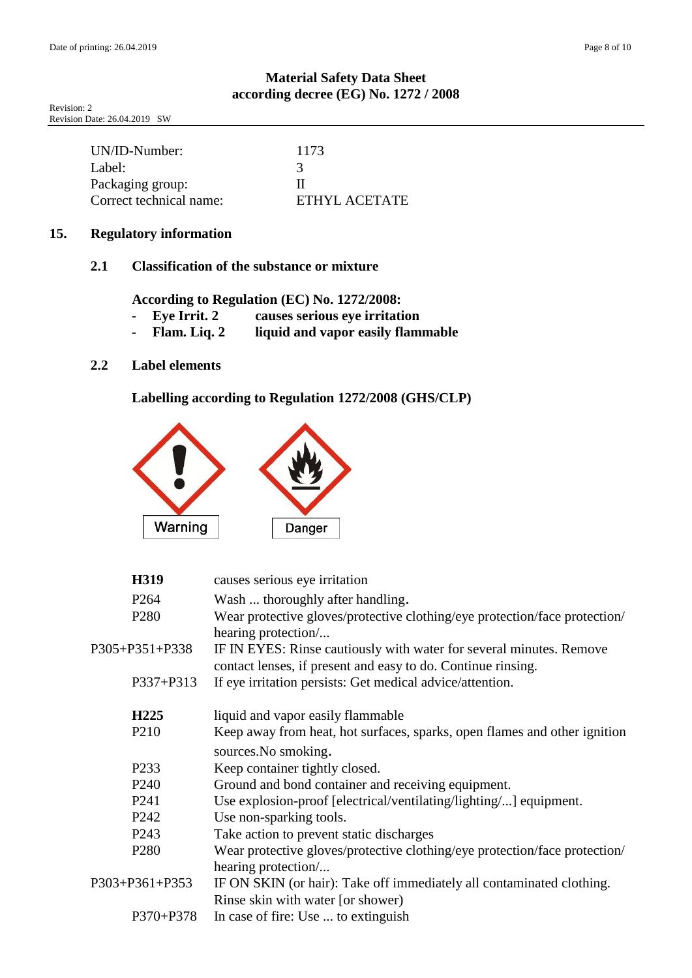Revision: 2 Revision Date: 26.04.2019 SW

| UN/ID-Number:           | 1173          |
|-------------------------|---------------|
| Label:                  |               |
| Packaging group:        | ш             |
| Correct technical name: | ETHYL ACETATE |

## **15. Regulatory information**

## **2.1 Classification of the substance or mixture**

**According to Regulation (EC) No. 1272/2008:**

- **Eye Irrit. 2 causes serious eye irritation**
- **Flam. Liq. 2 liquid and vapor easily flammable**

# **2.2 Label elements**

**Labelling according to Regulation 1272/2008 (GHS/CLP)**



| H319             | causes serious eye irritation                                                                                                       |
|------------------|-------------------------------------------------------------------------------------------------------------------------------------|
| P <sub>264</sub> | Wash  thoroughly after handling.                                                                                                    |
| P <sub>280</sub> | Wear protective gloves/protective clothing/eye protection/face protection/<br>hearing protection/                                   |
| P305+P351+P338   | IF IN EYES: Rinse cautiously with water for several minutes. Remove<br>contact lenses, if present and easy to do. Continue rinsing. |
| P337+P313        | If eye irritation persists: Get medical advice/attention.                                                                           |
| H <sub>225</sub> | liquid and vapor easily flammable                                                                                                   |
| P <sub>210</sub> | Keep away from heat, hot surfaces, sparks, open flames and other ignition                                                           |
|                  | sources. No smoking.                                                                                                                |
| P <sub>233</sub> | Keep container tightly closed.                                                                                                      |
| P <sub>240</sub> | Ground and bond container and receiving equipment.                                                                                  |
| P <sub>241</sub> | Use explosion-proof [electrical/ventilating/lighting/] equipment.                                                                   |
| P <sub>242</sub> | Use non-sparking tools.                                                                                                             |
| P <sub>243</sub> | Take action to prevent static discharges                                                                                            |
| P <sub>280</sub> | Wear protective gloves/protective clothing/eye protection/face protection/                                                          |
|                  | hearing protection                                                                                                                  |
| P303+P361+P353   | IF ON SKIN (or hair): Take off immediately all contaminated clothing.                                                               |
|                  | Rinse skin with water [or shower)                                                                                                   |
| P370+P378        | In case of fire: Use  to extinguish                                                                                                 |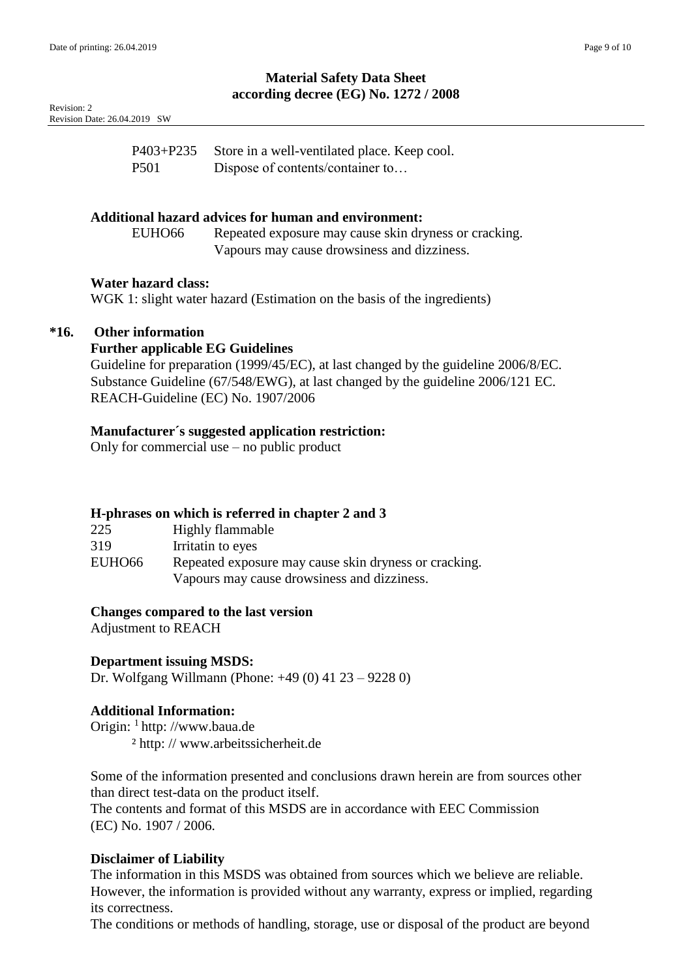| Revision: 2                  |  |
|------------------------------|--|
| Revision Date: 26.04.2019 SW |  |

| P403+P235 | Store in a well-ventilated place. Keep cool. |
|-----------|----------------------------------------------|
| P501      | Dispose of contents/container to             |

### **Additional hazard advices for human and environment:**

EUHO66 Repeated exposure may cause skin dryness or cracking. Vapours may cause drowsiness and dizziness.

#### **Water hazard class:**

WGK 1: slight water hazard (Estimation on the basis of the ingredients)

### **\*16. Other information**

### **Further applicable EG Guidelines**

Guideline for preparation (1999/45/EC), at last changed by the guideline 2006/8/EC. Substance Guideline (67/548/EWG), at last changed by the guideline 2006/121 EC. REACH-Guideline (EC) No. 1907/2006

### **Manufacturer´s suggested application restriction:**

Only for commercial use – no public product

### **H-phrases on which is referred in chapter 2 and 3**

| 225    | Highly flammable                                      |
|--------|-------------------------------------------------------|
| 319    | Irritatin to eyes                                     |
| EUHO66 | Repeated exposure may cause skin dryness or cracking. |
|        | Vapours may cause drowsiness and dizziness.           |

#### **Changes compared to the last version**

Adjustment to REACH

### **Department issuing MSDS:**

Dr. Wolfgang Willmann (Phone: +49 (0) 41 23 – 9228 0)

### **Additional Information:**

Origin: <sup>1</sup> http://www.baua.de ² http: // www.arbeitssicherheit.de

Some of the information presented and conclusions drawn herein are from sources other than direct test-data on the product itself.

The contents and format of this MSDS are in accordance with EEC Commission (EC) No. 1907 / 2006.

### **Disclaimer of Liability**

The information in this MSDS was obtained from sources which we believe are reliable. However, the information is provided without any warranty, express or implied, regarding its correctness.

The conditions or methods of handling, storage, use or disposal of the product are beyond